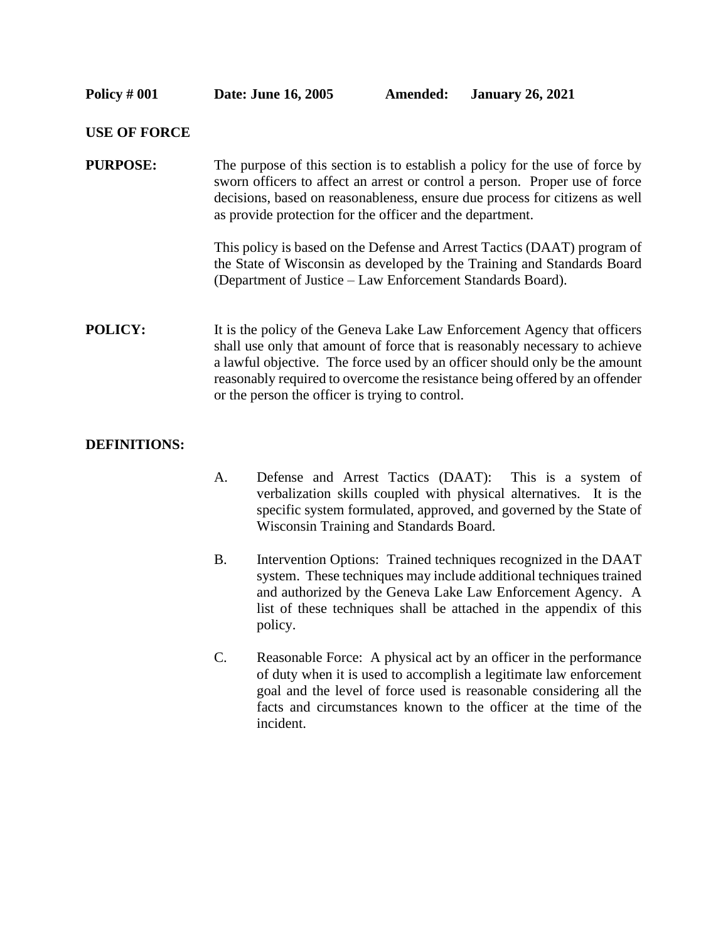## **USE OF FORCE**

**PURPOSE:** The purpose of this section is to establish a policy for the use of force by sworn officers to affect an arrest or control a person. Proper use of force decisions, based on reasonableness, ensure due process for citizens as well as provide protection for the officer and the department.

> This policy is based on the Defense and Arrest Tactics (DAAT) program of the State of Wisconsin as developed by the Training and Standards Board (Department of Justice – Law Enforcement Standards Board).

**POLICY:** It is the policy of the Geneva Lake Law Enforcement Agency that officers shall use only that amount of force that is reasonably necessary to achieve a lawful objective. The force used by an officer should only be the amount reasonably required to overcome the resistance being offered by an offender or the person the officer is trying to control.

## **DEFINITIONS:**

- A. Defense and Arrest Tactics (DAAT): This is a system of verbalization skills coupled with physical alternatives. It is the specific system formulated, approved, and governed by the State of Wisconsin Training and Standards Board.
- B. Intervention Options: Trained techniques recognized in the DAAT system. These techniques may include additional techniques trained and authorized by the Geneva Lake Law Enforcement Agency. A list of these techniques shall be attached in the appendix of this policy.
- C. Reasonable Force: A physical act by an officer in the performance of duty when it is used to accomplish a legitimate law enforcement goal and the level of force used is reasonable considering all the facts and circumstances known to the officer at the time of the incident.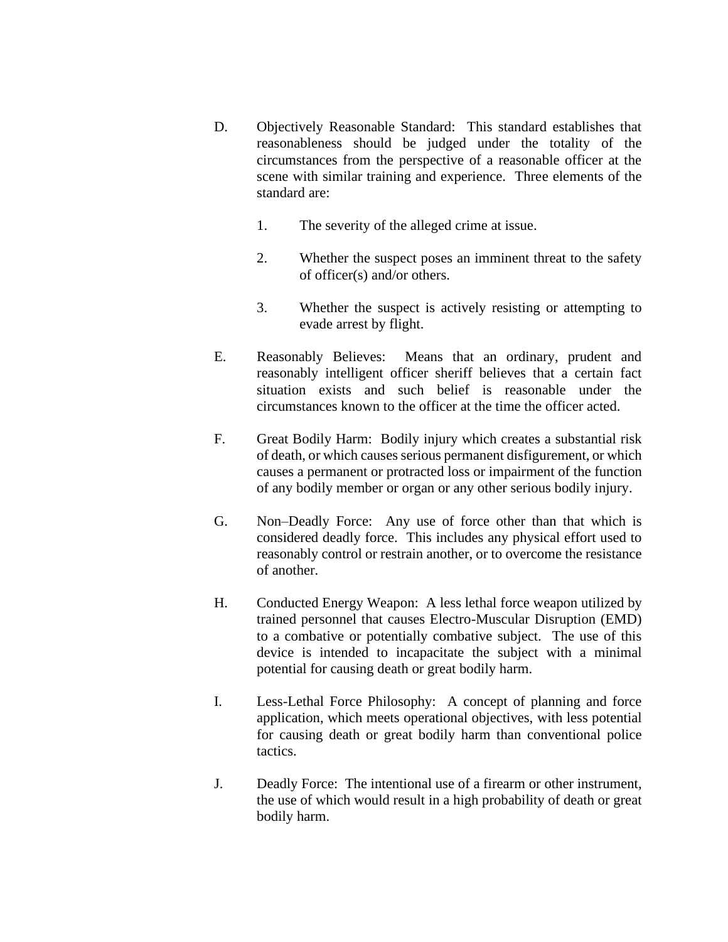- D. Objectively Reasonable Standard: This standard establishes that reasonableness should be judged under the totality of the circumstances from the perspective of a reasonable officer at the scene with similar training and experience. Three elements of the standard are:
	- 1. The severity of the alleged crime at issue.
	- 2. Whether the suspect poses an imminent threat to the safety of officer(s) and/or others.
	- 3. Whether the suspect is actively resisting or attempting to evade arrest by flight.
- E. Reasonably Believes: Means that an ordinary, prudent and reasonably intelligent officer sheriff believes that a certain fact situation exists and such belief is reasonable under the circumstances known to the officer at the time the officer acted.
- F. Great Bodily Harm: Bodily injury which creates a substantial risk of death, or which causes serious permanent disfigurement, or which causes a permanent or protracted loss or impairment of the function of any bodily member or organ or any other serious bodily injury.
- G. Non–Deadly Force: Any use of force other than that which is considered deadly force. This includes any physical effort used to reasonably control or restrain another, or to overcome the resistance of another.
- H. Conducted Energy Weapon: A less lethal force weapon utilized by trained personnel that causes Electro-Muscular Disruption (EMD) to a combative or potentially combative subject. The use of this device is intended to incapacitate the subject with a minimal potential for causing death or great bodily harm.
- I. Less-Lethal Force Philosophy: A concept of planning and force application, which meets operational objectives, with less potential for causing death or great bodily harm than conventional police tactics.
- J. Deadly Force: The intentional use of a firearm or other instrument, the use of which would result in a high probability of death or great bodily harm.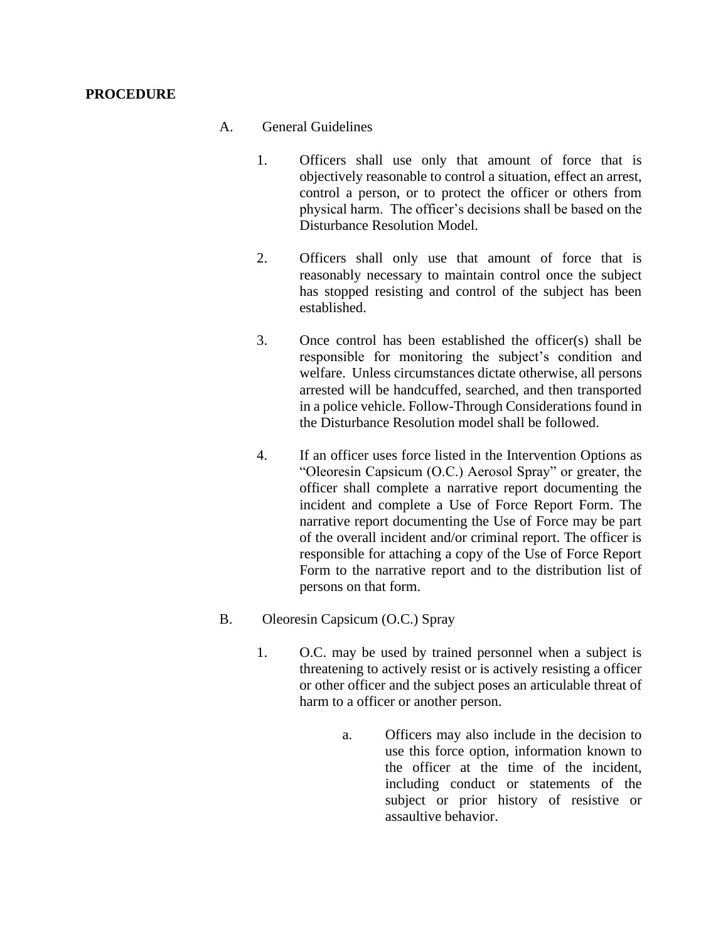## **PROCEDURE**

## A. General Guidelines

- 1. Officers shall use only that amount of force that is objectively reasonable to control a situation, effect an arrest, control a person, or to protect the officer or others from physical harm. The officer's decisions shall be based on the Disturbance Resolution Model.
- 2. Officers shall only use that amount of force that is reasonably necessary to maintain control once the subject has stopped resisting and control of the subject has been established.
- 3. Once control has been established the officer(s) shall be responsible for monitoring the subject's condition and welfare. Unless circumstances dictate otherwise, all persons arrested will be handcuffed, searched, and then transported in a police vehicle. Follow-Through Considerations found in the Disturbance Resolution model shall be followed.
- 4. If an officer uses force listed in the Intervention Options as "Oleoresin Capsicum (O.C.) Aerosol Spray" or greater, the officer shall complete a narrative report documenting the incident and complete a Use of Force Report Form. The narrative report documenting the Use of Force may be part of the overall incident and/or criminal report. The officer is responsible for attaching a copy of the Use of Force Report Form to the narrative report and to the distribution list of persons on that form.
- B. Oleoresin Capsicum (O.C.) Spray
	- 1. O.C. may be used by trained personnel when a subject is threatening to actively resist or is actively resisting a officer or other officer and the subject poses an articulable threat of harm to a officer or another person.
		- a. Officers may also include in the decision to use this force option, information known to the officer at the time of the incident, including conduct or statements of the subject or prior history of resistive or assaultive behavior.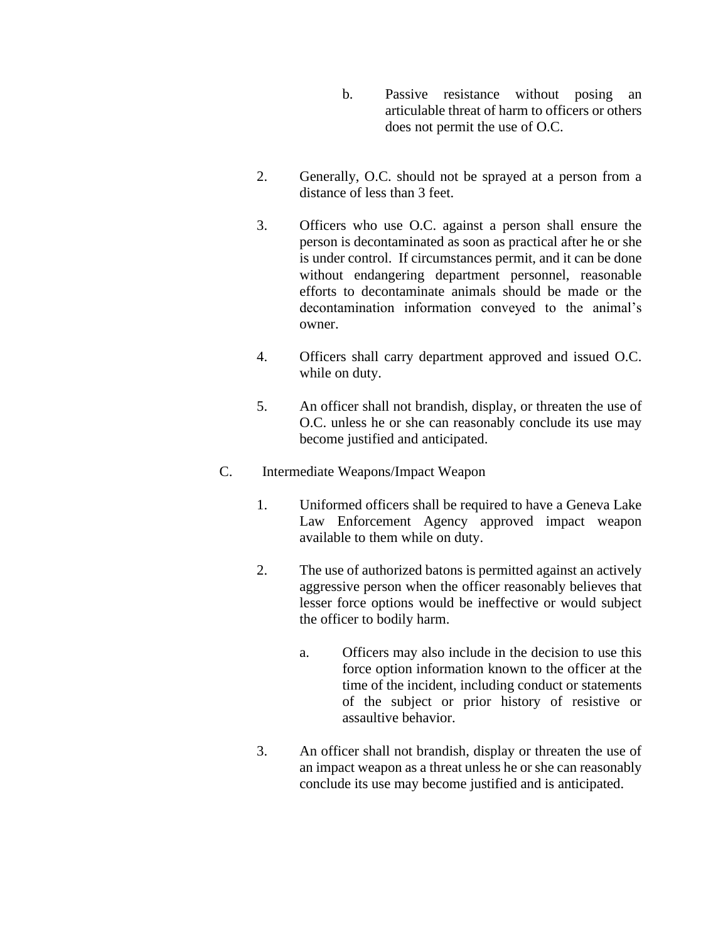- b. Passive resistance without posing an articulable threat of harm to officers or others does not permit the use of O.C.
- 2. Generally, O.C. should not be sprayed at a person from a distance of less than 3 feet.
- 3. Officers who use O.C. against a person shall ensure the person is decontaminated as soon as practical after he or she is under control. If circumstances permit, and it can be done without endangering department personnel, reasonable efforts to decontaminate animals should be made or the decontamination information conveyed to the animal's owner.
- 4. Officers shall carry department approved and issued O.C. while on duty.
- 5. An officer shall not brandish, display, or threaten the use of O.C. unless he or she can reasonably conclude its use may become justified and anticipated.
- C. Intermediate Weapons/Impact Weapon
	- 1. Uniformed officers shall be required to have a Geneva Lake Law Enforcement Agency approved impact weapon available to them while on duty.
	- 2. The use of authorized batons is permitted against an actively aggressive person when the officer reasonably believes that lesser force options would be ineffective or would subject the officer to bodily harm.
		- a. Officers may also include in the decision to use this force option information known to the officer at the time of the incident, including conduct or statements of the subject or prior history of resistive or assaultive behavior.
	- 3. An officer shall not brandish, display or threaten the use of an impact weapon as a threat unless he or she can reasonably conclude its use may become justified and is anticipated.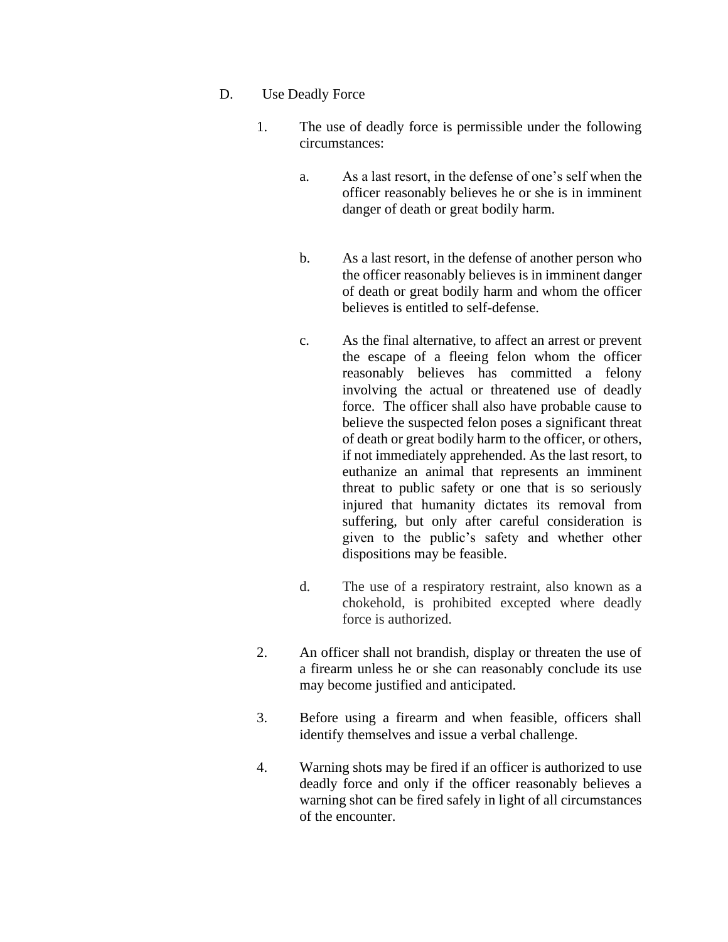- D. Use Deadly Force
	- 1. The use of deadly force is permissible under the following circumstances:
		- a. As a last resort, in the defense of one's self when the officer reasonably believes he or she is in imminent danger of death or great bodily harm.
		- b. As a last resort, in the defense of another person who the officer reasonably believes is in imminent danger of death or great bodily harm and whom the officer believes is entitled to self-defense.
		- c. As the final alternative, to affect an arrest or prevent the escape of a fleeing felon whom the officer reasonably believes has committed a felony involving the actual or threatened use of deadly force. The officer shall also have probable cause to believe the suspected felon poses a significant threat of death or great bodily harm to the officer, or others, if not immediately apprehended. As the last resort, to euthanize an animal that represents an imminent threat to public safety or one that is so seriously injured that humanity dictates its removal from suffering, but only after careful consideration is given to the public's safety and whether other dispositions may be feasible.
		- d. The use of a respiratory restraint, also known as a chokehold, is prohibited excepted where deadly force is authorized.
	- 2. An officer shall not brandish, display or threaten the use of a firearm unless he or she can reasonably conclude its use may become justified and anticipated.
	- 3. Before using a firearm and when feasible, officers shall identify themselves and issue a verbal challenge.
	- 4. Warning shots may be fired if an officer is authorized to use deadly force and only if the officer reasonably believes a warning shot can be fired safely in light of all circumstances of the encounter.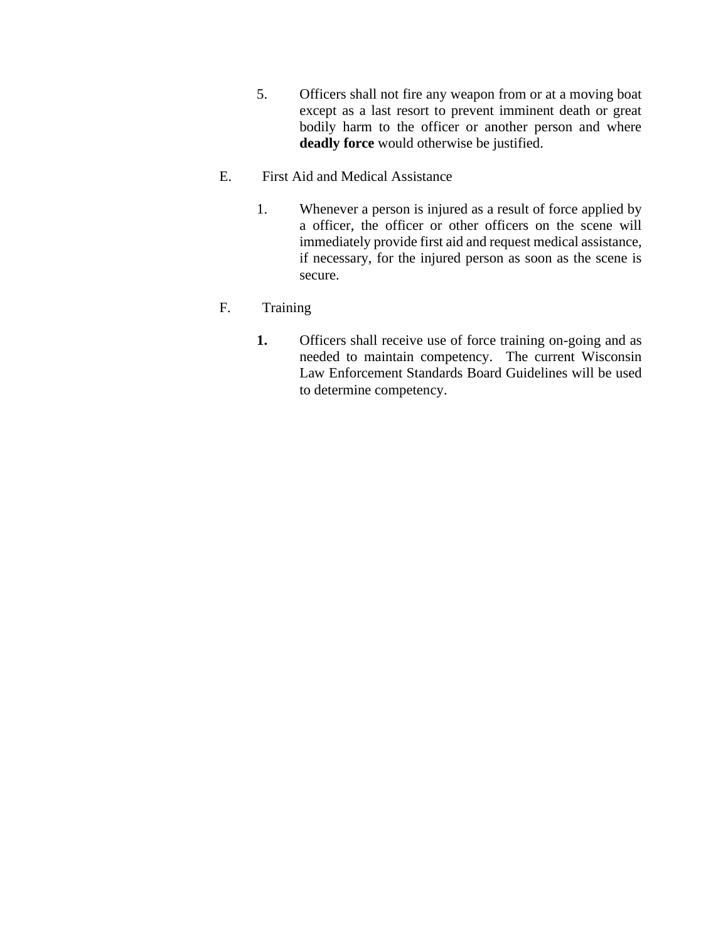- 5. Officers shall not fire any weapon from or at a moving boat except as a last resort to prevent imminent death or great bodily harm to the officer or another person and where **deadly force** would otherwise be justified.
- E. First Aid and Medical Assistance
	- 1. Whenever a person is injured as a result of force applied by a officer, the officer or other officers on the scene will immediately provide first aid and request medical assistance, if necessary, for the injured person as soon as the scene is secure.

## F. Training

**1.** Officers shall receive use of force training on-going and as needed to maintain competency. The current Wisconsin Law Enforcement Standards Board Guidelines will be used to determine competency.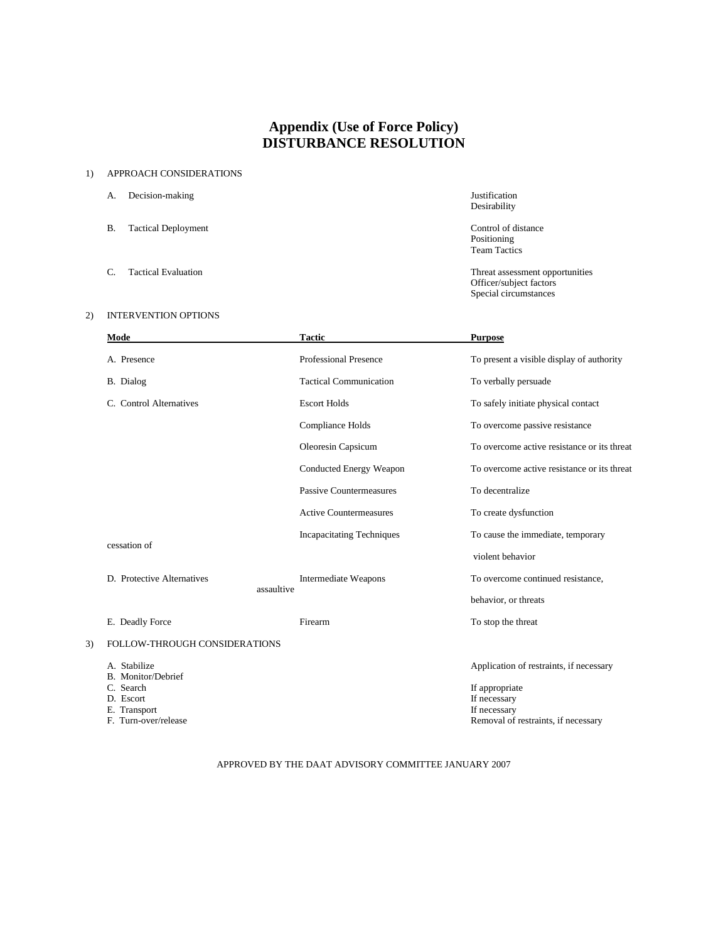## **Appendix (Use of Force Policy) DISTURBANCE RESOLUTION**

#### 1) APPROACH CONSIDERATIONS

- A. Decision-making Justification
- B. Tactical Deployment Control of distance
- 

### 2) INTERVENTION OPTIONS

# Desirability

Positioning Team Tactics

C. Tactical Evaluation Threat assessment opportunities Officer/subject factors Special circumstances

| Mode                            |            | <b>Tactic</b>                    | <b>Purpose</b>                              |
|---------------------------------|------------|----------------------------------|---------------------------------------------|
| A. Presence                     |            | <b>Professional Presence</b>     | To present a visible display of authority   |
| B. Dialog                       |            | <b>Tactical Communication</b>    | To verbally persuade                        |
| C. Control Alternatives         |            | <b>Escort Holds</b>              | To safely initiate physical contact         |
|                                 |            | Compliance Holds                 | To overcome passive resistance              |
|                                 |            | Oleoresin Capsicum               | To overcome active resistance or its threat |
|                                 |            | Conducted Energy Weapon          | To overcome active resistance or its threat |
|                                 |            | Passive Countermeasures          | To decentralize                             |
|                                 |            | <b>Active Countermeasures</b>    | To create dysfunction                       |
|                                 |            | <b>Incapacitating Techniques</b> | To cause the immediate, temporary           |
| cessation of                    |            |                                  | violent behavior                            |
| D. Protective Alternatives      |            | <b>Intermediate Weapons</b>      | To overcome continued resistance,           |
|                                 | assaultive |                                  | behavior, or threats                        |
| E. Deadly Force                 |            | Firearm                          | To stop the threat                          |
| FOLLOW-THROUGH CONSIDERATIONS   |            |                                  |                                             |
| A. Stabilize                    |            |                                  | Application of restraints, if necessary     |
| B. Monitor/Debrief<br>C. Search |            |                                  |                                             |
| D. Escort                       |            |                                  | If appropriate<br>If necessary              |
| E. Transport                    |            |                                  | If necessary                                |
| F. Turn-over/release            |            |                                  | Removal of restraints, if necessary         |

#### APPROVED BY THE DAAT ADVISORY COMMITTEE JANUARY 2007